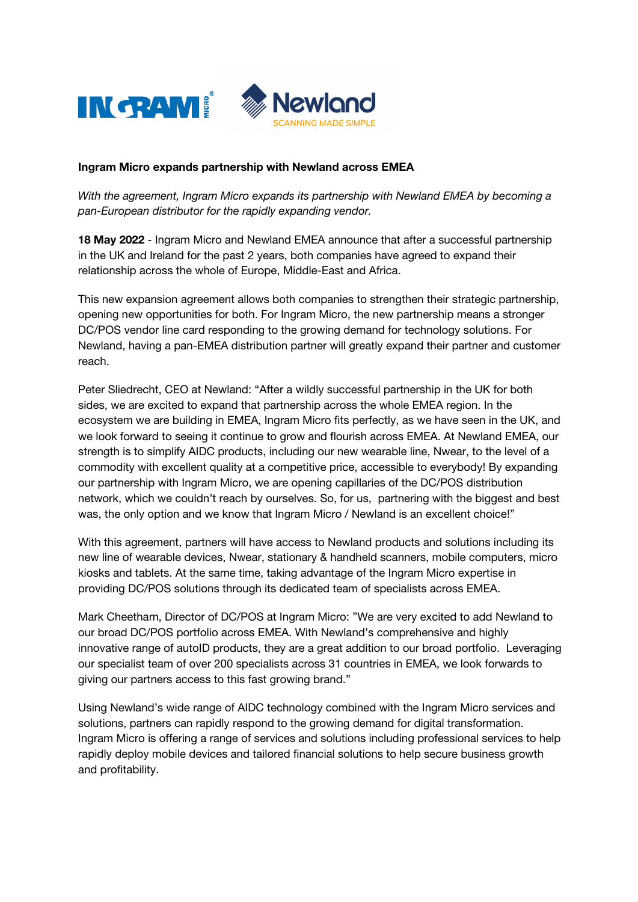

## Ingram Micro expands partnership with Newland across EMEA

*With the agreement, Ingram Micro expands its partnership with Newland EMEA by becoming a pan-European distributor for the rapidly expanding vendor.* 

18 May 2022 - Ingram Micro and Newland EMEA announce that after a successful partnership in the UK and Ireland for the past 2 years, both companies have agreed to expand their relationship across the whole of Europe, Middle-East and Africa.

This new expansion agreement allows both companies to strengthen their strategic partnership, opening new opportunities for both. For Ingram Micro, the new partnership means a stronger DC/POS vendor line card responding to the growing demand for technology solutions. For Newland, having a pan-EMEA distribution partner will greatly expand their partner and customer reach.

Peter Sliedrecht, CEO at Newland: "After a wildly successful partnership in the UK for both sides, we are excited to expand that partnership across the whole EMEA region. In the ecosystem we are building in EMEA, Ingram Micro fits perfectly, as we have seen in the UK, and we look forward to seeing it continue to grow and flourish across EMEA. At Newland EMEA, our strength is to simplify AIDC products, including our new wearable line, Nwear, to the level of a commodity with excellent quality at a competitive price, accessible to everybody! By expanding our partnership with Ingram Micro, we are opening capillaries of the DC/POS distribution network, which we couldn't reach by ourselves. So, for us, partnering with the biggest and best was, the only option and we know that Ingram Micro / Newland is an excellent choice!"

With this agreement, partners will have access to Newland products and solutions including its new line of wearable devices, Nwear, stationary & handheld scanners, mobile computers, micro kiosks and tablets. At the same time, taking advantage of the Ingram Micro expertise in providing DC/POS solutions through its dedicated team of specialists across EMEA.

Mark Cheetham, Director of DC/POS at Ingram Micro: "We are very excited to add Newland to our broad DC/POS portfolio across EMEA. With Newland's comprehensive and highly innovative range of autoID products, they are a great addition to our broad portfolio. Leveraging our specialist team of over 200 specialists across 31 countries in EMEA, we look forwards to giving our partners access to this fast growing brand."

Using Newland's wide range of AIDC technology combined with the Ingram Micro services and solutions, partners can rapidly respond to the growing demand for digital transformation. Ingram Micro is offering a range of services and solutions including professional services to help rapidly deploy mobile devices and tailored financial solutions to help secure business growth and profitability.